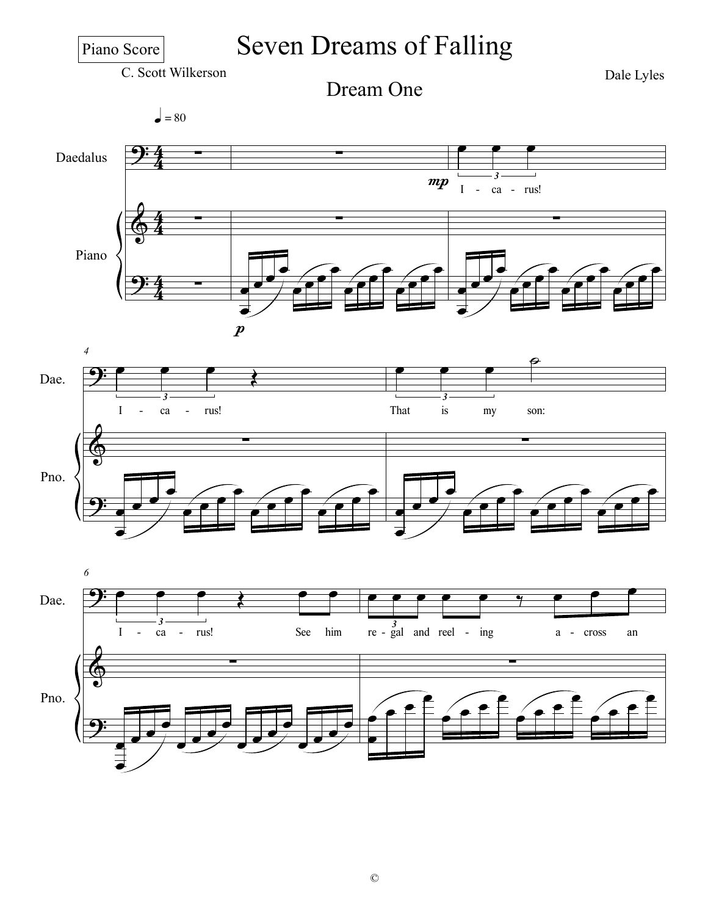Piano Score

## Seven Dreams of Falling

C. Scott Wilkerson

Dream One

Dale Lyles







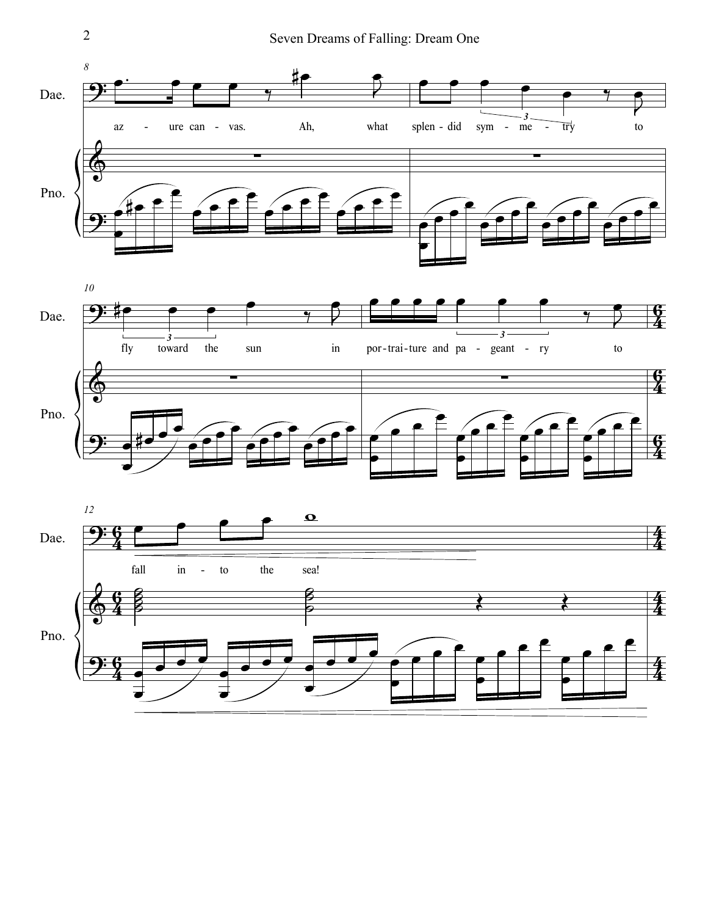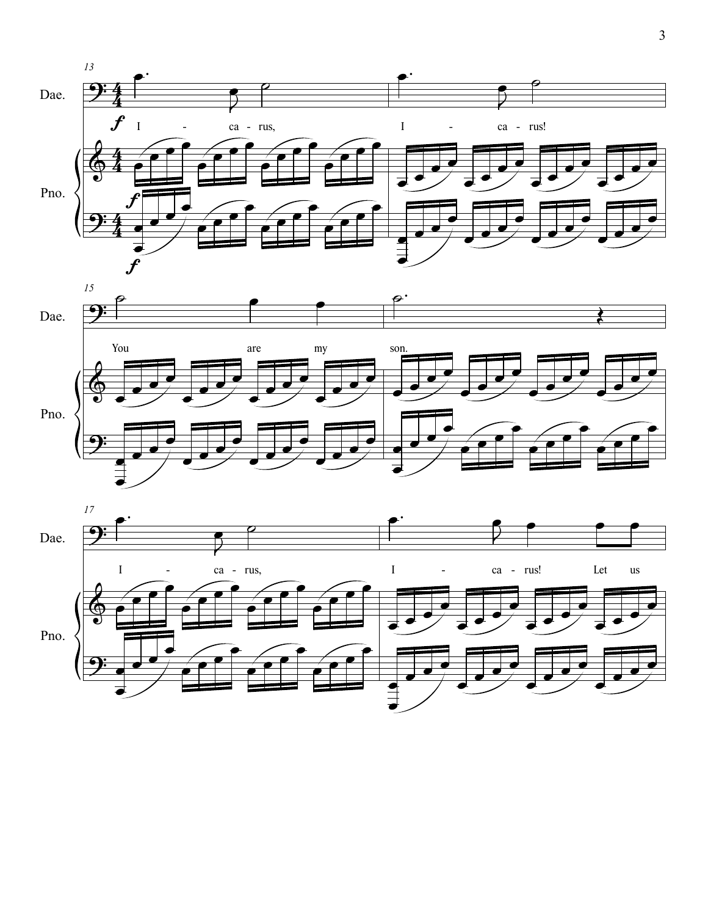



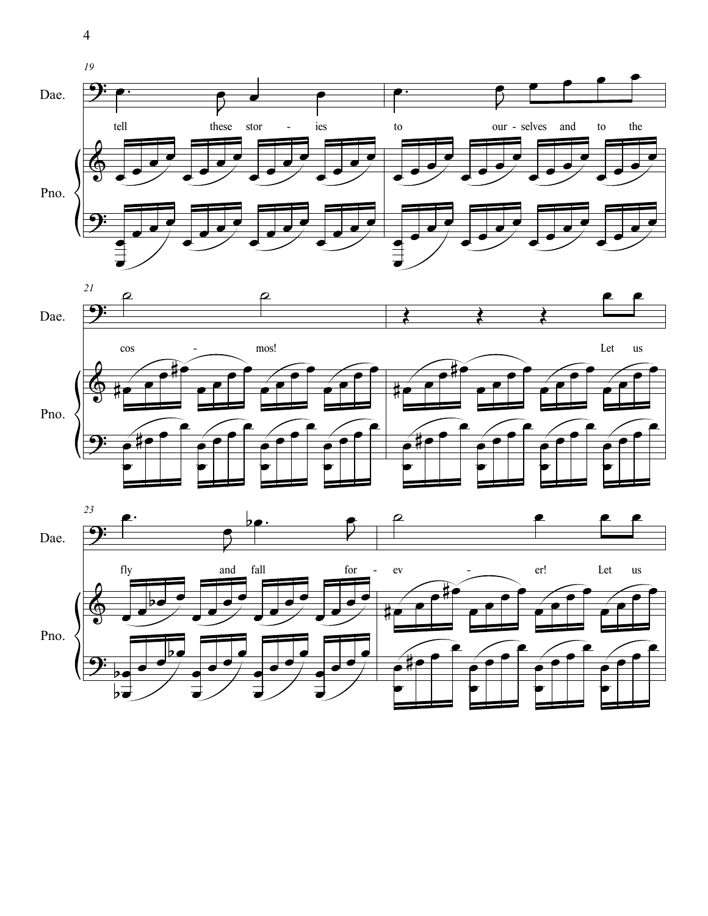





4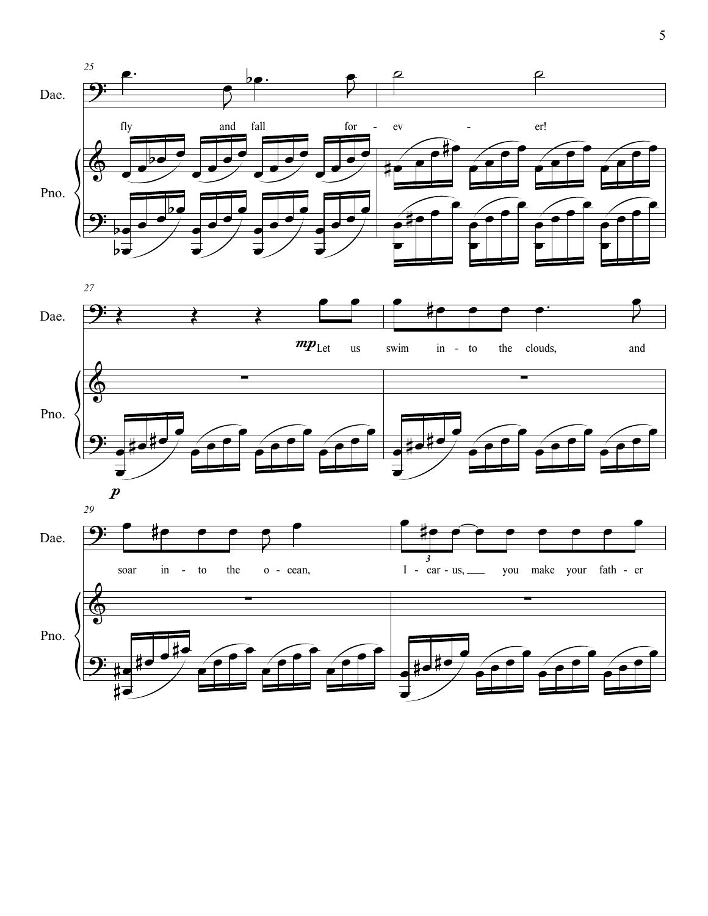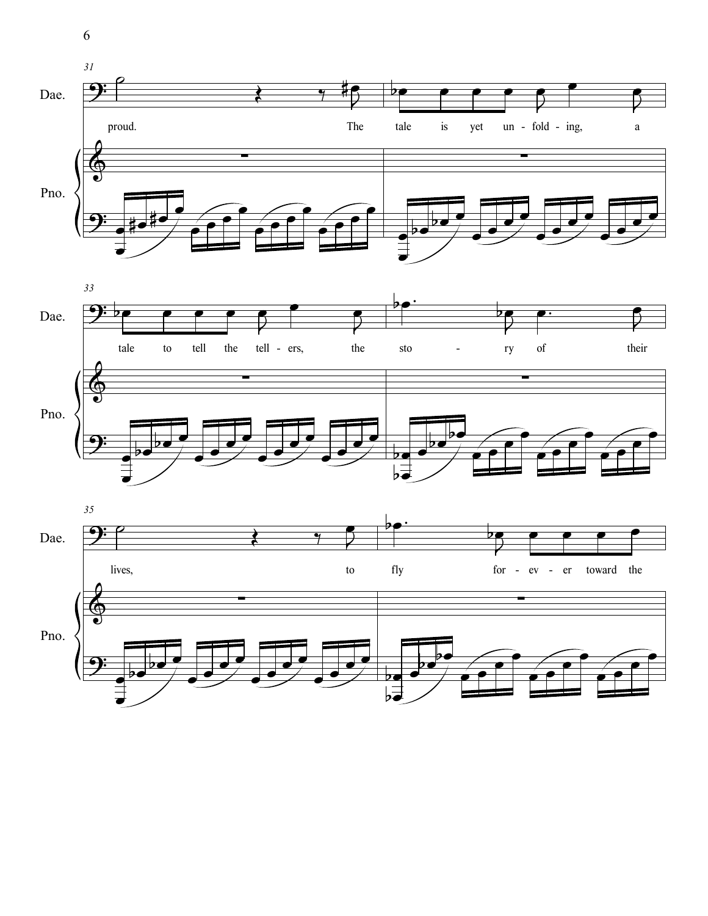





6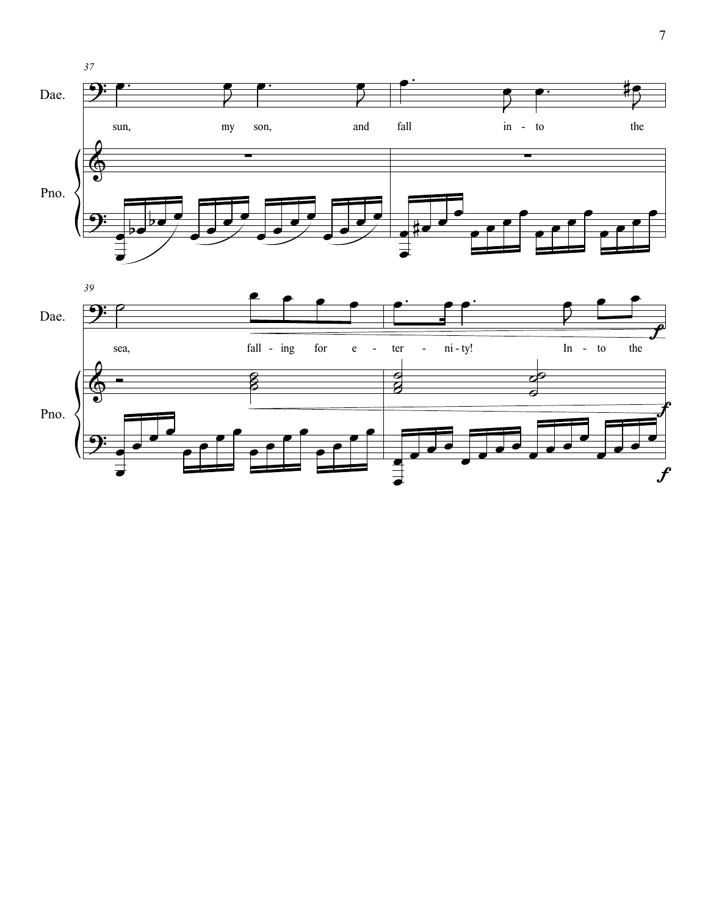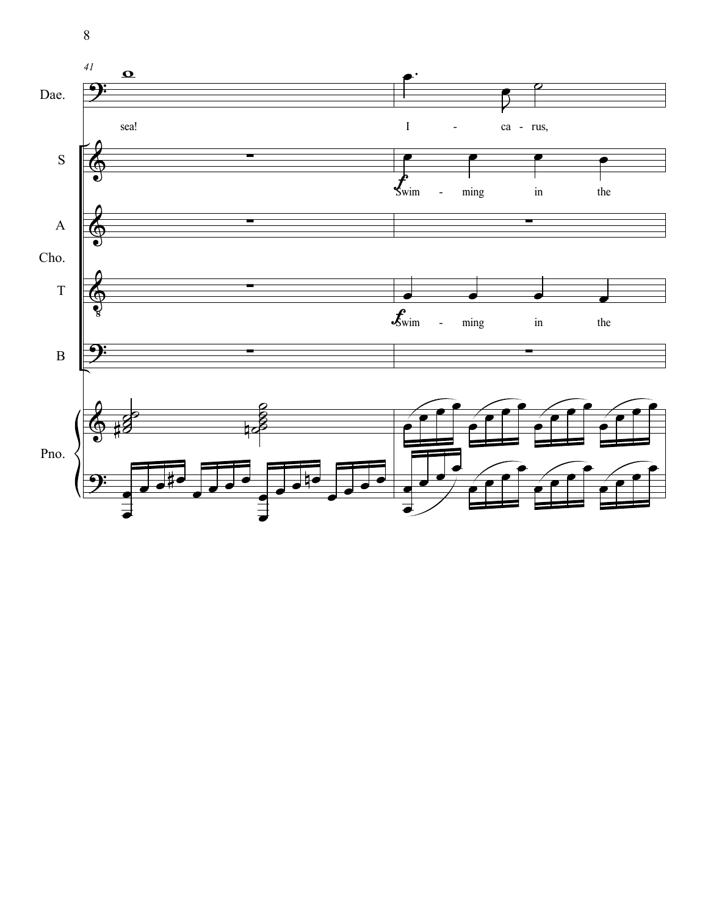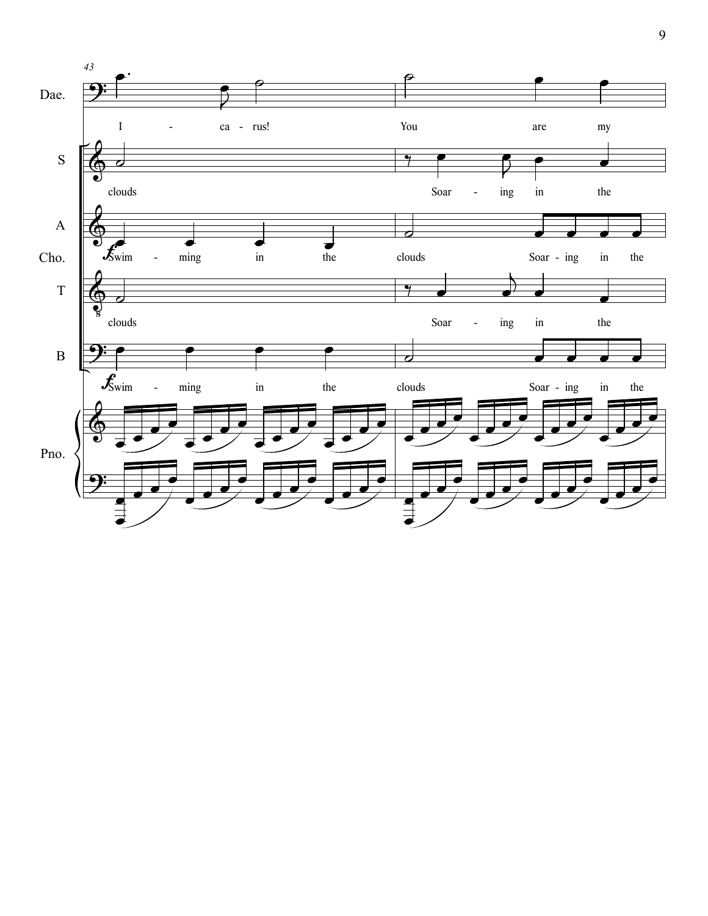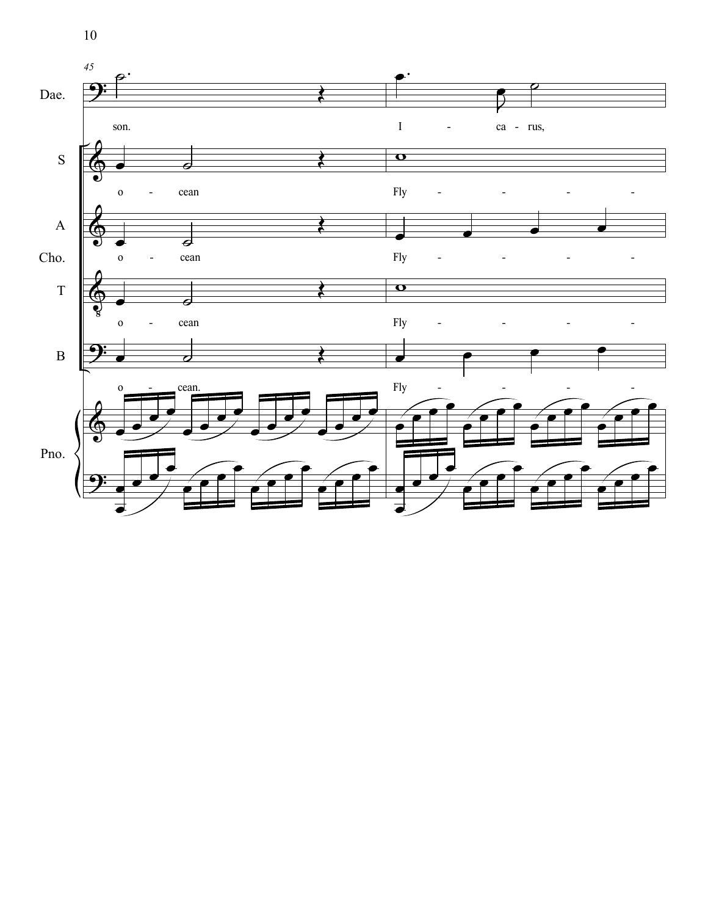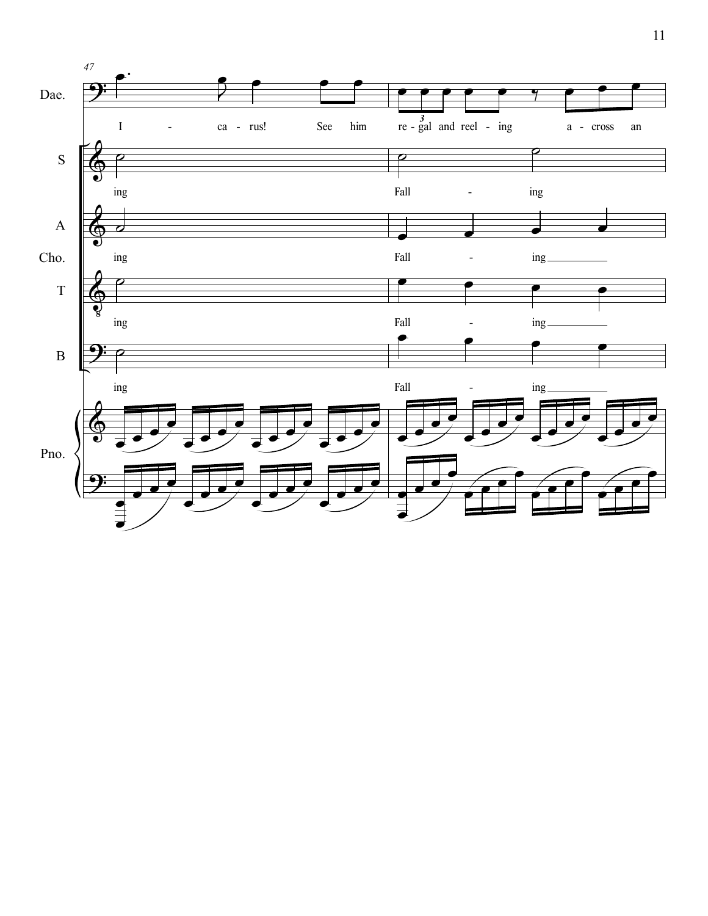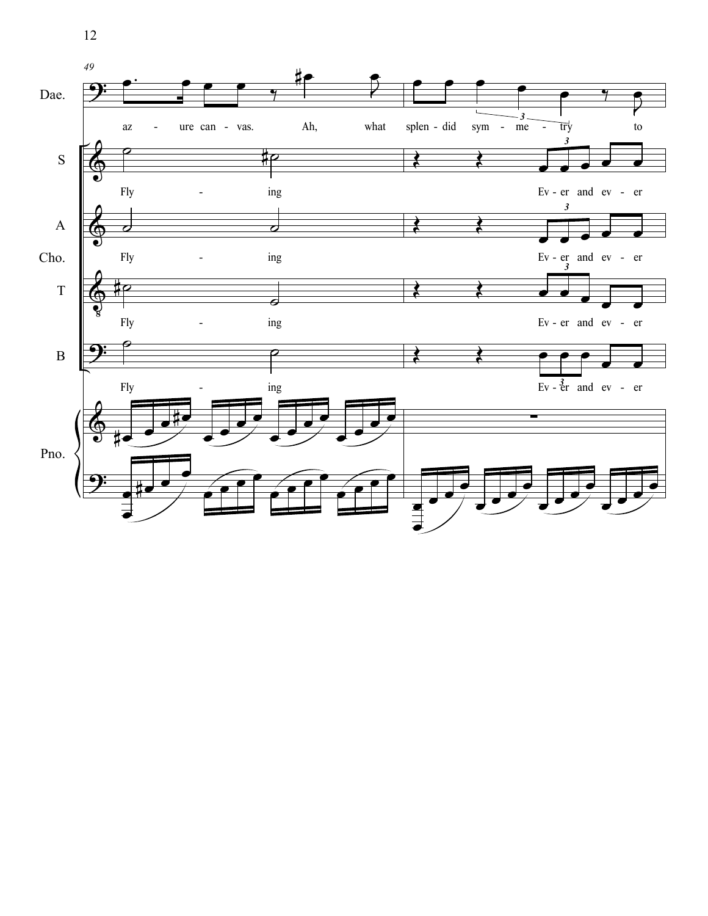

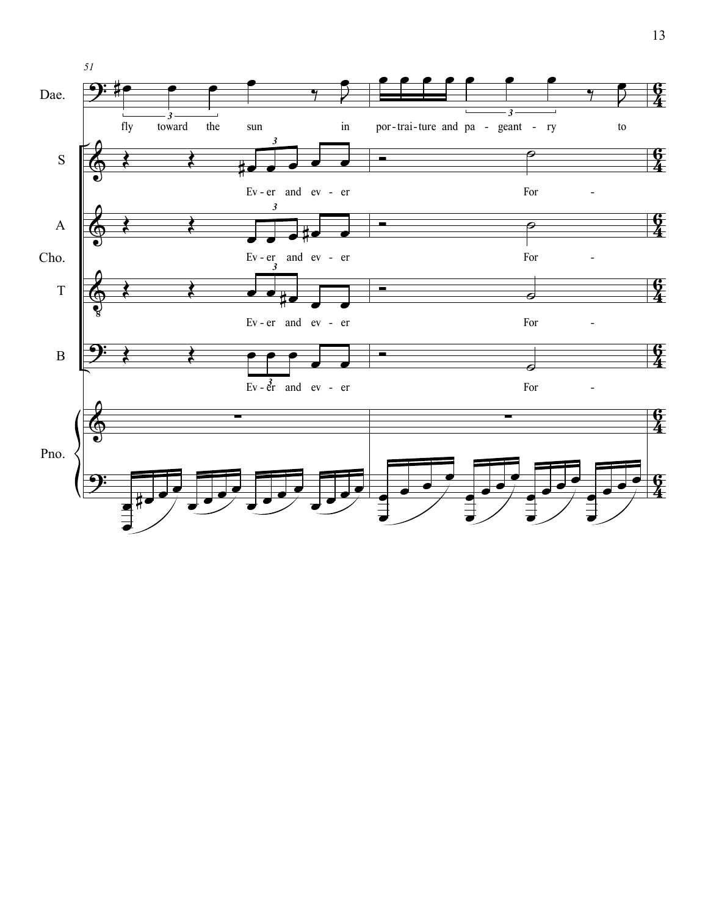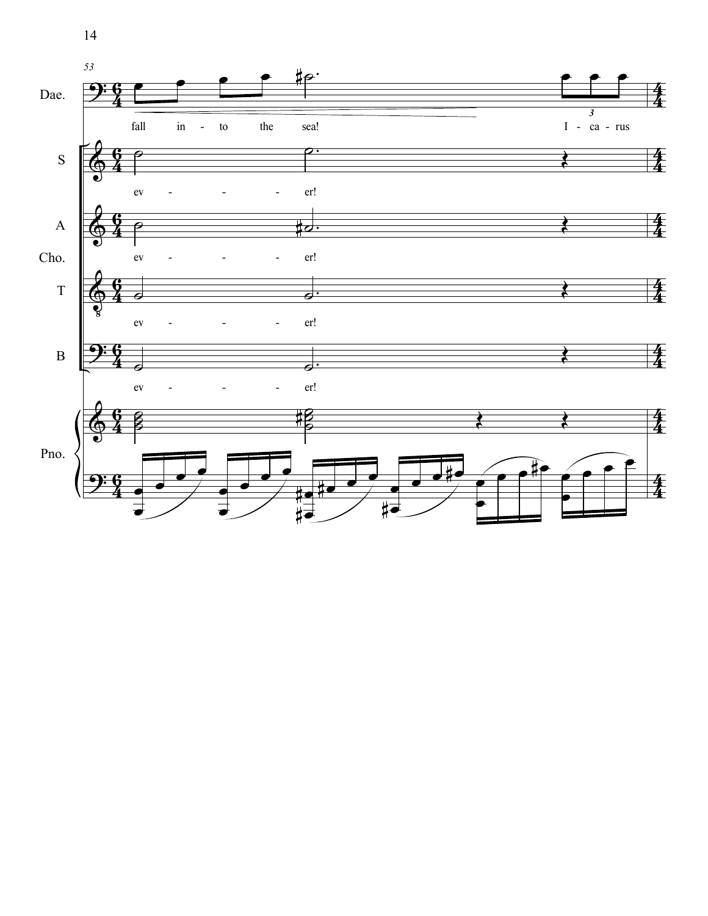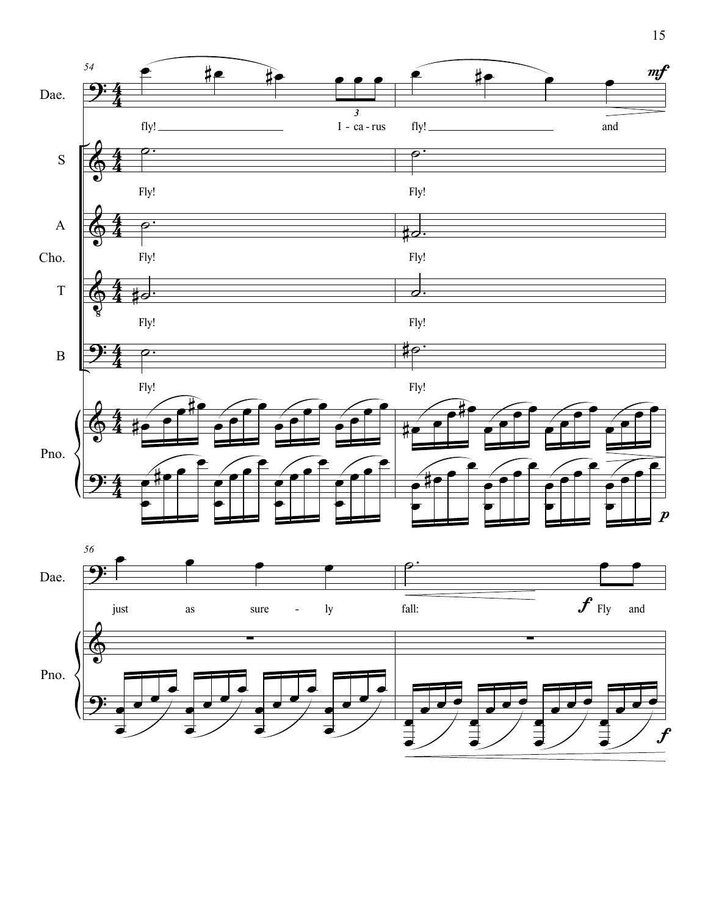



œ

œ

∑  $\overline{\phantom{a}}$ œ œ œ  $\overline{\phantom{a}}$ œ œ œ  $\overline{\phantom{a}}$ œ ∑ œ œ  $\overrightarrow{e}$ œ œ  $\overrightarrow{e}$ œ œ  $\overrightarrow{e}$ œ œ

 $\overrightarrow{e}$ 

f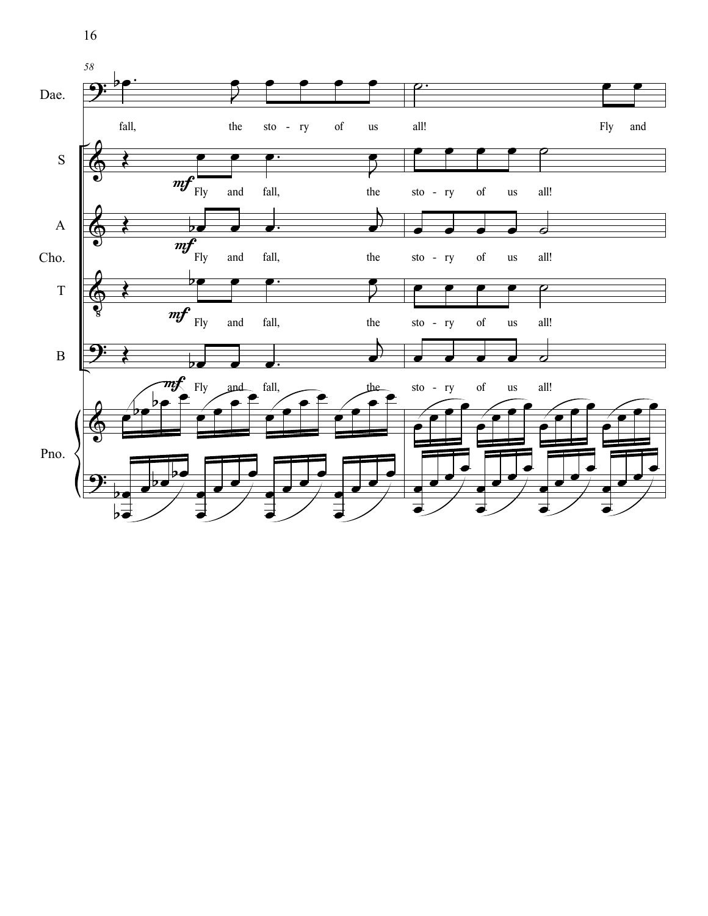

16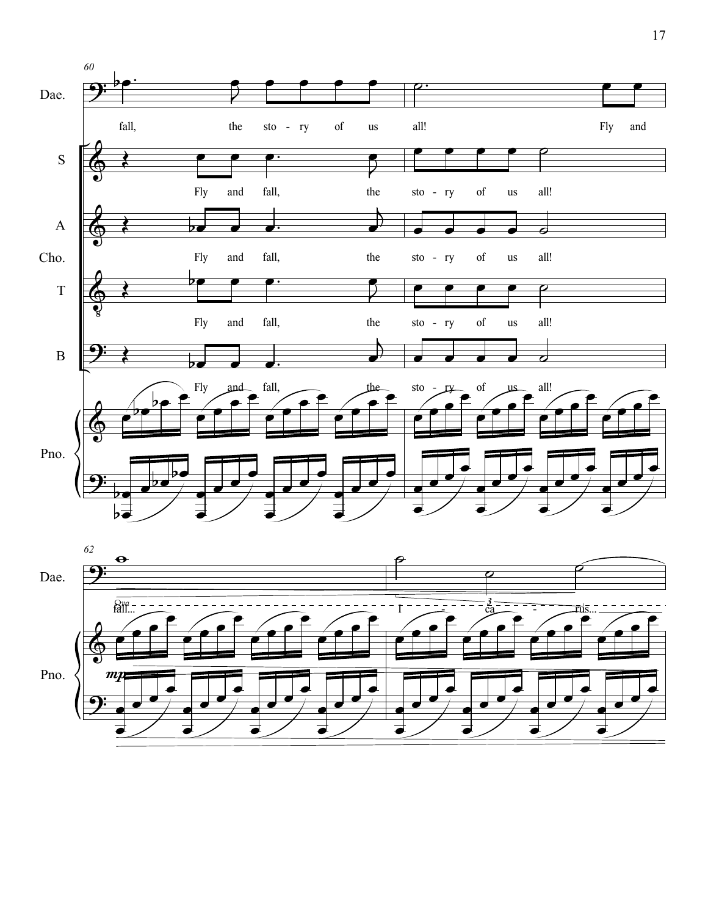